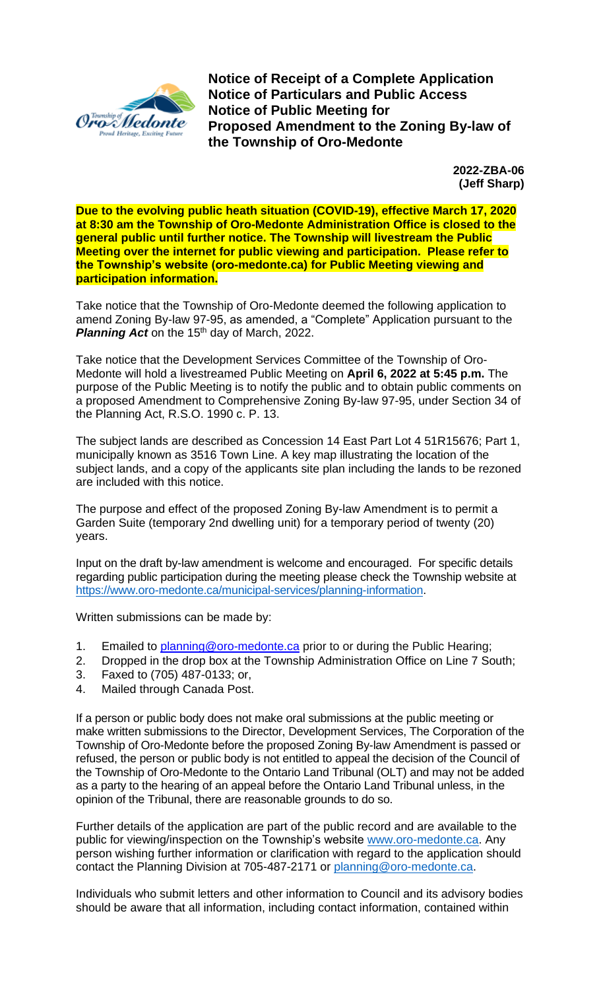

**Notice of Receipt of a Complete Application Notice of Particulars and Public Access Notice of Public Meeting for Proposed Amendment to the Zoning By-law of the Township of Oro-Medonte**

> **2022-ZBA-06 (Jeff Sharp)**

**Due to the evolving public heath situation (COVID-19), effective March 17, 2020 at 8:30 am the Township of Oro-Medonte Administration Office is closed to the general public until further notice. The Township will livestream the Public Meeting over the internet for public viewing and participation. Please refer to the Township's website (oro-medonte.ca) for Public Meeting viewing and participation information.**

Take notice that the Township of Oro-Medonte deemed the following application to amend Zoning By-law 97-95, as amended, a "Complete" Application pursuant to the **Planning Act** on the 15<sup>th</sup> day of March, 2022.

Take notice that the Development Services Committee of the Township of Oro-Medonte will hold a livestreamed Public Meeting on **April 6, 2022 at 5:45 p.m.** The purpose of the Public Meeting is to notify the public and to obtain public comments on a proposed Amendment to Comprehensive Zoning By-law 97-95, under Section 34 of the Planning Act, R.S.O. 1990 c. P. 13.

The subject lands are described as Concession 14 East Part Lot 4 51R15676; Part 1, municipally known as 3516 Town Line. A key map illustrating the location of the subject lands, and a copy of the applicants site plan including the lands to be rezoned are included with this notice.

The purpose and effect of the proposed Zoning By-law Amendment is to permit a Garden Suite (temporary 2nd dwelling unit) for a temporary period of twenty (20) years.

Input on the draft by-law amendment is welcome and encouraged. For specific details regarding public participation during the meeting please check the Township website at [https://www.oro-medonte.ca/municipal-services/planning-information.](https://www.oro-medonte.ca/municipal-services/planning-information)

Written submissions can be made by:

- 1. Emailed to [planning@oro-medonte.ca](mailto:planning@oro-medonte.ca) prior to or during the Public Hearing;
- 2. Dropped in the drop box at the Township Administration Office on Line 7 South;
- 3. Faxed to (705) 487-0133; or,
- 4. Mailed through Canada Post.

If a person or public body does not make oral submissions at the public meeting or make written submissions to the Director, Development Services, The Corporation of the Township of Oro-Medonte before the proposed Zoning By-law Amendment is passed or refused, the person or public body is not entitled to appeal the decision of the Council of the Township of Oro-Medonte to the Ontario Land Tribunal (OLT) and may not be added as a party to the hearing of an appeal before the Ontario Land Tribunal unless, in the opinion of the Tribunal, there are reasonable grounds to do so.

Further details of the application are part of the public record and are available to the public for viewing/inspection on the Township's website [www.oro-medonte.ca.](http://www.oro-medonte.ca/) Any person wishing further information or clarification with regard to the application should contact the Planning Division at 705-487-2171 or [planning@oro-medonte.ca.](mailto:planning@oro-medonte.ca)

Individuals who submit letters and other information to Council and its advisory bodies should be aware that all information, including contact information, contained within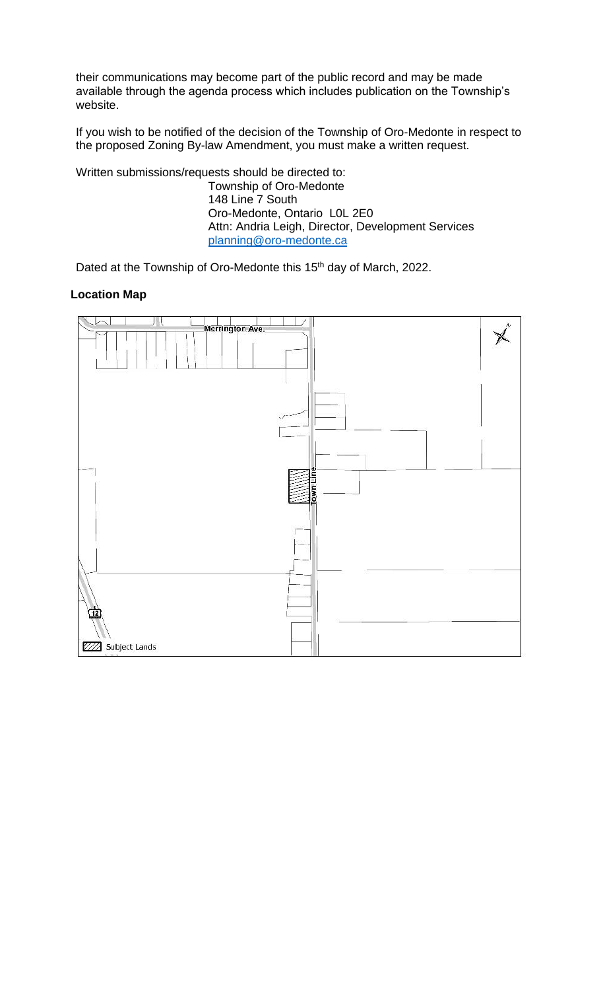their communications may become part of the public record and may be made available through the agenda process which includes publication on the Township's website.

If you wish to be notified of the decision of the Township of Oro-Medonte in respect to the proposed Zoning By-law Amendment, you must make a written request.

Written submissions/requests should be directed to: Township of Oro-Medonte 148 Line 7 South Oro-Medonte, Ontario L0L 2E0 Attn: Andria Leigh, Director, Development Services [planning@oro-medonte.ca](mailto:planning@oro-medonte.ca)

Dated at the Township of Oro-Medonte this 15<sup>th</sup> day of March, 2022.

## **Location Map**